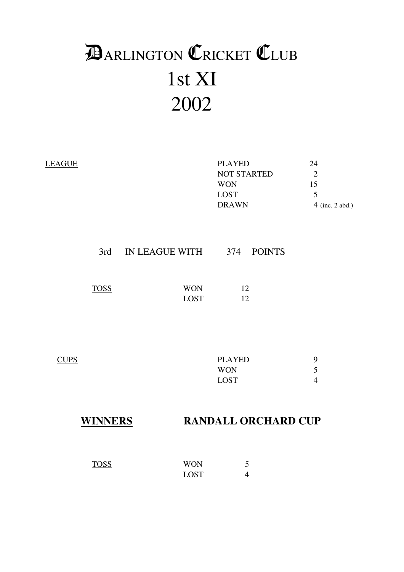# 1st XI 2002 **DARLINGTON CRICKET CLUB**

| <b>LEAGUE</b> |                |                               | <b>PLAYED</b><br><b>NOT STARTED</b><br><b>WON</b><br><b>LOST</b><br><b>DRAWN</b> | 24<br>$\overline{2}$<br>15<br>5<br>$4$ (inc. 2 abd.) |
|---------------|----------------|-------------------------------|----------------------------------------------------------------------------------|------------------------------------------------------|
|               |                | 3rd IN LEAGUE WITH 374 POINTS |                                                                                  |                                                      |
|               | <b>TOSS</b>    | <b>WON</b><br><b>LOST</b>     | 12<br>12                                                                         |                                                      |
| <b>CUPS</b>   |                |                               | <b>PLAYED</b><br><b>WON</b><br><b>LOST</b>                                       | 9<br>5<br>$\overline{4}$                             |
|               | <b>WINNERS</b> |                               | <b>RANDALL ORCHARD CUP</b>                                                       |                                                      |

TOSS WON 5<br>LOST 4

LOST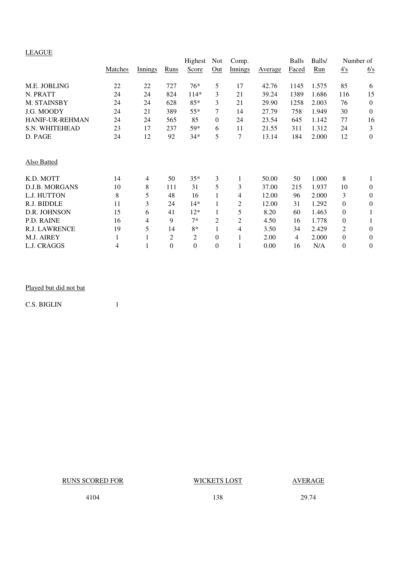### LEAGUE

| <u>LL.CCL</u>          |         |         |                | Highest  | <b>Not</b> | Comp.          |         | <b>Balls</b> | Balls/ |                  | Number of      |
|------------------------|---------|---------|----------------|----------|------------|----------------|---------|--------------|--------|------------------|----------------|
|                        | Matches | Innings | Runs           | Score    | Out        | <b>Innings</b> | Average | Faced        | Run    | $\frac{4's}{4}$  | 6's            |
| M.E. JOBLING           | 22      | 22      | 727            | 76*      | 5          | 17             | 42.76   | 1145         | 1.575  | 85               | 6              |
| N. PRATT               | 24      | 24      | 824            | $114*$   | 3          | 21             | 39.24   | 1389         | 1.686  | 116              | 15             |
| M. STAINSBY            | 24      | 24      | 628            | $85*$    | 3          | 21             | 29.90   | 1258         | 2.003  | 76               | $\overline{0}$ |
| J.G. MOODY             | 24      | 21      | 389            | 55*      | 7          | 14             | 27.79   | 758          | 1.949  | 30               | $\overline{0}$ |
| <b>HANIF-UR-REHMAN</b> | 24      | 24      | 565            | 85       | $\theta$   | 24             | 23.54   | 645          | 1.142  | 77               | 16             |
| S.N. WHITEHEAD         | 23      | 17      | 237            | 59*      | 6          | 11             | 21.55   | 311          | 1.312  | 24               | 3              |
| D. PAGE                | 24      | 12      | 92             | 34*      | 5          | 7              | 13.14   | 184          | 2.000  | 12               | $\overline{0}$ |
| Also Batted            |         |         |                |          |            |                |         |              |        |                  |                |
| K.D. MOTT              | 14      | 4       | 50             | $35*$    | 3          | 1              | 50.00   | 50           | 1.000  | 8                | 1              |
| D.J.B. MORGANS         | 10      | 8       | 111            | 31       | 5          | 3              | 37.00   | 215          | 1.937  | 10               | $\theta$       |
| L.J. HUTTON            | 8       | 5       | 48             | 16       |            | 4              | 12.00   | 96           | 2.000  | 3                | $\theta$       |
| R.J. BIDDLE            | 11      | 3       | 24             | $14*$    |            | 2              | 12.00   | 31           | 1.292  | $\boldsymbol{0}$ | $\theta$       |
| D.R. JOHNSON           | 15      | 6       | 41             | $12*$    |            | 5              | 8.20    | 60           | 1.463  | $\boldsymbol{0}$ | 1              |
| P.D. RAINE             | 16      | 4       | 9              | $7*$     | 2          | 2              | 4.50    | 16           | 1.778  | $\boldsymbol{0}$ |                |
| <b>R.J. LAWRENCE</b>   | 19      | 5       | 14             | $8*$     |            | 4              | 3.50    | 34           | 2.429  | 2                | $\theta$       |
| M.J. AIREY             |         |         | $\overline{2}$ | 2        | $\theta$   |                | 2.00    | 4            | 2.000  | $\boldsymbol{0}$ | $\theta$       |
| L.J. CRAGGS            | 4       |         | $\theta$       | $\theta$ | $\theta$   |                | 0.00    | 16           | N/A    | $\overline{0}$   | $\theta$       |

### Played but did not bat

C.S. BIGLIN 1

RUNS SCORED FOR WICKETS LOST AVERAGE

4104 138 29.74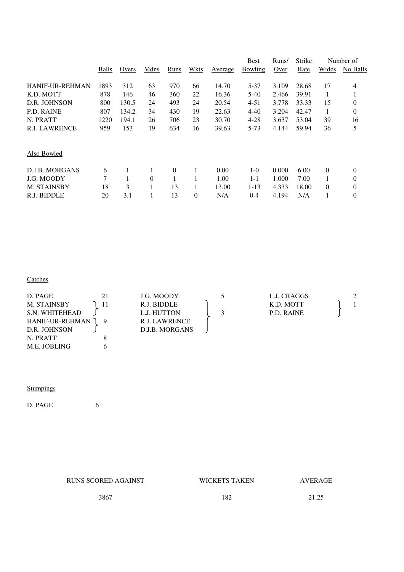|       |       |          |          |          |         | <b>Best</b> | Runs/ | <b>Strike</b> | Number of    |                |
|-------|-------|----------|----------|----------|---------|-------------|-------|---------------|--------------|----------------|
| Balls | Overs | Mdns     | Runs     | Wkts     | Average | Bowling     | Over  | Rate          | Wides        | No Balls       |
| 1893  | 312   | 63       | 970      | 66       | 14.70   | 5-37        | 3.109 | 28.68         | 17           | 4              |
| 878   | 146   | 46       | 360      | 22       | 16.36   | 5-40        | 2.466 | 39.91         | 1            | 1              |
| 800   | 130.5 | 24       | 493      | 24       | 20.54   | $4 - 51$    | 3.778 | 33.33         | 15           | 0              |
| 807   | 134.2 | 34       | 430      | 19       | 22.63   | 4-40        | 3.204 | 42.47         | 1            | $\overline{0}$ |
| 1220  | 194.1 | 26       | 706      | 23       | 30.70   | $4 - 28$    | 3.637 | 53.04         | 39           | 16             |
| 959   | 153   | 19       | 634      | 16       | 39.63   | $5 - 73$    | 4.144 | 59.94         | 36           | 5              |
|       |       |          |          |          |         |             |       |               |              |                |
| 6     | 1     |          | $\Omega$ | 1        | 0.00    | $1 - 0$     | 0.000 | 6.00          | $\mathbf{0}$ | 0              |
| 7     |       | $\theta$ | 1        |          | 1.00    | $1 - 1$     | 1.000 | 7.00          | 1            | $\overline{0}$ |
| 18    | 3     |          | 13       | 1        | 13.00   | $1 - 13$    | 4.333 | 18.00         | 0            | 0              |
| 20    | 3.1   |          | 13       | $\theta$ | N/A     | $0 - 4$     | 4.194 | N/A           |              | $\overline{0}$ |
|       |       |          |          |          |         |             |       |               |              |                |

### **Catches Catches**

| D. PAGE            | J.G. MOODY     | L.J. CRAGGS |  |
|--------------------|----------------|-------------|--|
| <b>M. STAINSBY</b> | R.J. BIDDLE    | K.D. MOTT   |  |
| S.N. WHITEHEAD     | L.J. HUTTON    | P.D. RAINE  |  |
| HANIF-UR-REHMAN    | R.J. LAWRENCE  |             |  |
| D.R. JOHNSON       | D.J.B. MORGANS |             |  |
| N. PRATT           |                |             |  |

### **Stumpings**

D. PAGE 6

M.E. JOBLING 6

RUNS SCORED AGAINST WICKETS TAKEN AVERAGE

3867 182 21.25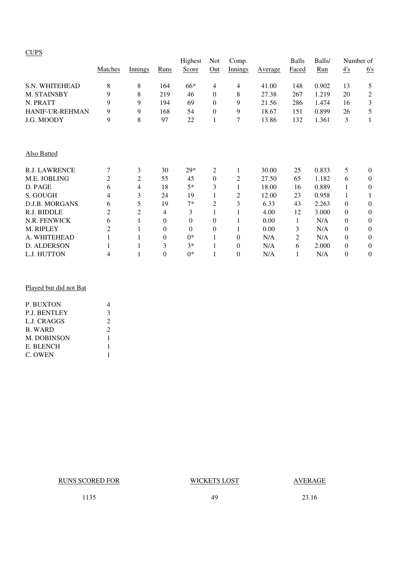### **CUPS**

|                      |                | Highest<br>Not<br>Comp. |                |          | <b>Balls</b>     | Balls/   | Number of      |       |       |          |                  |
|----------------------|----------------|-------------------------|----------------|----------|------------------|----------|----------------|-------|-------|----------|------------------|
|                      | Matches        | Innings                 | Runs           | Score    | Out              | Innings  | <b>Average</b> | Faced | Run   | 4's      | 6's              |
| S.N. WHITEHEAD       | 8              | 8                       | 164            | 66*      | 4                | 4        | 41.00          | 148   | 0.902 | 13       | 5                |
| M. STAINSBY          | 9              | 8                       | 219            | 46       | $\mathbf{0}$     | 8        | 27.38          | 267   | 1.219 | 20       | $\mathbf{2}$     |
| N. PRATT             | 9              | 9                       | 194            | 69       | $\mathbf{0}$     | 9        | 21.56          | 286   | 1.474 | 16       | $\mathfrak{Z}$   |
| HANIF-UR-REHMAN      | 9              | 9                       | 168            | 54       | $\boldsymbol{0}$ | 9        | 18.67          | 151   | 0.899 | 26       | 5                |
| J.G. MOODY           | 9              | 8                       | 97             | 22       | $\mathbf{1}$     | 7        | 13.86          | 132   | 1.361 | 3        | 1                |
| Also Batted          |                |                         |                |          |                  |          |                |       |       |          |                  |
| <b>R.J. LAWRENCE</b> | 7              | 3                       | 30             | $29*$    | 2                |          | 30.00          | 25    | 0.833 | 5        | $\theta$         |
| M.E. JOBLING         | $\overline{2}$ | 2                       | 55             | 45       | $\boldsymbol{0}$ | 2        | 27.50          | 65    | 1.182 | 6        | $\theta$         |
| D. PAGE              | 6              | 4                       | 18             | $5*$     | 3                |          | 18.00          | 16    | 0.889 |          | $\theta$         |
| S. GOUGH             | 4              | 3                       | 24             | 19       | 1                | 2        | 12.00          | 23    | 0.958 |          |                  |
| D.J.B. MORGANS       | 6              | 5                       | 19             | $7*$     | 2                | 3        | 6.33           | 43    | 2.263 | $\Omega$ | $\theta$         |
| R.J. BIDDLE          | $\overline{c}$ | 2                       | 4              | 3        | 1                |          | 4.00           | 12    | 3.000 | $\Omega$ | $\theta$         |
| N.R. FENWICK         | 6              | 1                       | $\theta$       | $\theta$ | $\mathbf{0}$     |          | 0.00           | 1     | N/A   | $\Omega$ | $\overline{0}$   |
| M. RIPLEY            | 2              |                         | $\overline{0}$ | $\theta$ | $\mathbf{0}$     |          | 0.00           | 3     | N/A   | $\Omega$ | $\theta$         |
| A. WHITEHEAD         |                |                         | 0              | $0*$     | $\mathbf{1}$     | $\theta$ | N/A            | 2     | N/A   | $\Omega$ | $\theta$         |
| D. ALDERSON          |                |                         | 3              | $3*$     | 1                | $\theta$ | N/A            | 6     | 2.000 | $\theta$ | $\boldsymbol{0}$ |
| L.J. HUTTON          | 4              |                         | $\overline{0}$ | $0*$     | 1                | $\theta$ | N/A            | 1     | N/A   | $\theta$ | $\theta$         |
|                      |                |                         |                |          |                  |          |                |       |       |          |                  |

### Played but did not Bat

| <b>P. BUXTON</b>    |                |
|---------------------|----------------|
| <b>P.J. BENTLEY</b> | 3              |
| L.J. CRAGGS         | $\mathfrak{D}$ |
| <b>B. WARD</b>      | $\mathfrak{D}$ |
| <b>M. DOBINSON</b>  | 1              |
| E. BLENCH           |                |
| C. OWEN             |                |
|                     |                |

RUNS SCORED FOR WICKETS LOST AVERAGE

1135 49 23.16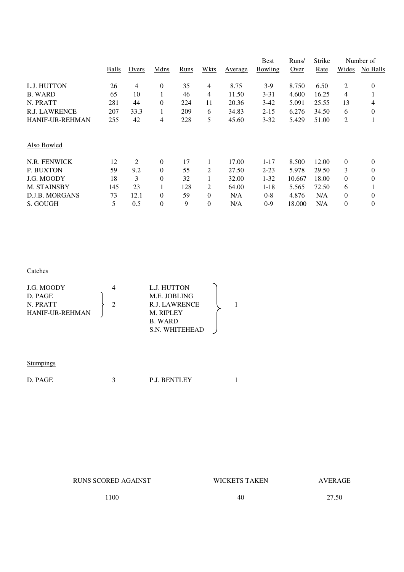|       |       |                  |      |                |         | <b>Best</b> | Runs/  | Strike |                | Number of        |
|-------|-------|------------------|------|----------------|---------|-------------|--------|--------|----------------|------------------|
| Balls | Overs | Mdns             | Runs | Wkts           | Average | Bowling     | Over   | Rate   | Wides          | No Balls         |
| 26    | 4     | $\boldsymbol{0}$ | 35   | 4              | 8.75    | $3-9$       | 8.750  | 6.50   | 2              | $\boldsymbol{0}$ |
| 65    | 10    |                  | 46   | 4              | 11.50   | $3 - 31$    | 4.600  | 16.25  | 4              |                  |
| 281   | 44    | $\theta$         | 224  | 11             | 20.36   | $3-42$      | 5.091  | 25.55  | 13             | 4                |
| 207   | 33.3  | 1                | 209  | 6              | 34.83   | $2 - 15$    | 6.276  | 34.50  | 6              | $\Omega$         |
| 255   | 42    | 4                | 228  | 5              | 45.60   | $3 - 32$    | 5.429  | 51.00  | $\overline{2}$ |                  |
|       |       |                  |      |                |         |             |        |        |                |                  |
| 12    | 2     | $\theta$         | 17   | 1              | 17.00   | $1 - 17$    | 8.500  | 12.00  | $\theta$       | $\theta$         |
| 59    | 9.2   | $\overline{0}$   | 55   | 2              | 27.50   | $2 - 23$    | 5.978  | 29.50  | 3              | 0                |
| 18    | 3     | $\theta$         | 32   | 1              | 32.00   | $1 - 32$    | 10.667 | 18.00  | $\Omega$       | $\theta$         |
| 145   | 23    |                  | 128  | 2              | 64.00   | $1 - 18$    | 5.565  | 72.50  | 6              |                  |
| 73    | 12.1  | $\overline{0}$   | 59   | $\overline{0}$ | N/A     | $0 - 8$     | 4.876  | N/A    | $\overline{0}$ | 0                |
| 5     | 0.5   | $\theta$         | 9    | $\theta$       | N/A     | $0-9$       | 18.000 | N/A    | $\overline{0}$ | $\overline{0}$   |
|       |       |                  |      |                |         |             |        |        |                |                  |

### **Catches**

| J.G. MOODY             | L.J. HUTTON    |  |
|------------------------|----------------|--|
| D. PAGE                | M.E. JOBLING   |  |
| N. PRATT               | R.J. LAWRENCE  |  |
| <b>HANIF-UR-REHMAN</b> | M. RIPLEY      |  |
|                        | B. WARD        |  |
|                        | S.N. WHITEHEAD |  |

### **Stumpings**

RUNS SCORED AGAINST WICKETS TAKEN AVERAGE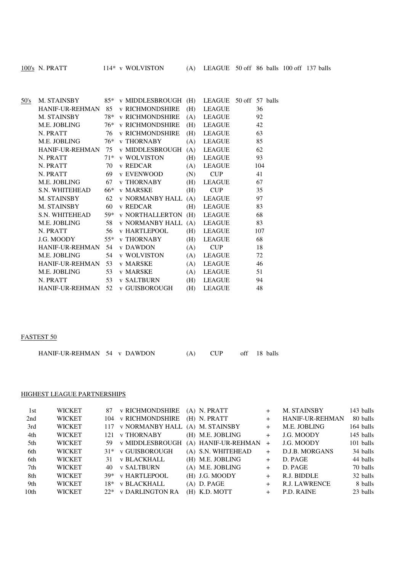| 50's |                                  |    | M. STAINSBY 85* v MIDDLESBROUGH (H) LEAGUE 50 off 57 balls |     |               |     |
|------|----------------------------------|----|------------------------------------------------------------|-----|---------------|-----|
|      | HANIF-UR-REHMAN 85               |    | <b>v RICHMONDSHIRE</b>                                     | (H) | LEAGUE        | 36  |
|      | M. STAINSBY                      |    | 78* v RICHMONDSHIRE                                        | (A) | LEAGUE        | 92  |
|      |                                  |    | M.E. JOBLING 76* v RICHMONDSHIRE                           | (H) | LEAGUE        | 42  |
|      | N. PRATT                         | 76 | <b>v RICHMONDSHIRE</b>                                     | (H) | LEAGUE        | 63  |
|      | M.E. JOBLING $76*$ v THORNABY    |    |                                                            | (A) | LEAGUE        | 85  |
|      |                                  |    | HANIF-UR-REHMAN 75 v MIDDLESBROUGH                         | (A) | LEAGUE        | 62  |
|      | N. PRATT                         |    | 71* v WOLVISTON                                            | (H) | LEAGUE        | 93  |
|      | N. PRATT                         | 70 | v REDCAR                                                   | (A) | LEAGUE        | 104 |
|      | N. PRATT                         |    | 69 v EVENWOOD                                              | (N) | <b>CUP</b>    | 41  |
|      | M.E. JOBLING                     |    | 67 v THORNABY                                              |     | (H) LEAGUE    | 67  |
|      | S.N. WHITEHEAD                   |    | 66* v MARSKE                                               | (H) | <b>CUP</b>    | 35  |
|      | M. STAINSBY                      |    | 62 v NORMANBY HALL (A) LEAGUE                              |     |               | 97  |
|      | M. STAINSBY                      | 60 | v REDCAR                                                   | (H) | <b>LEAGUE</b> | 83  |
|      | S.N. WHITEHEAD                   |    | 59* v NORTHALLERTON (H) LEAGUE                             |     |               | 68  |
|      | M.E. JOBLING                     |    | 58 v NORMANBY HALL (A) LEAGUE                              |     |               | 83  |
|      | N. PRATT                         |    | 56 v HARTLEPOOL                                            | (H) | LEAGUE        | 107 |
|      | J.G. MOODY                       |    | 55* v THORNABY                                             | (H) | <b>LEAGUE</b> | 68  |
|      | HANIF-UR-REHMAN 54 v DAWDON      |    |                                                            | (A) | <b>CUP</b>    | 18  |
|      | M.E. JOBLING                     |    | 54 v WOLVISTON                                             | (A) | LEAGUE        | 72  |
|      | HANIF-UR-REHMAN 53 v MARSKE      |    |                                                            | (A) | LEAGUE        | 46  |
|      | M.E. JOBLING                     |    | 53 v MARSKE                                                | (A) | LEAGUE        | 51  |
|      | N. PRATT                         |    | 53 v SALTBURN                                              | (H) | LEAGUE        | 94  |
|      | HANIF-UR-REHMAN 52 v GUISBOROUGH |    |                                                            | (H) | <b>LEAGUE</b> | 48  |

### FASTEST 50

| HANIF-UR-REHMAN 54 v DAWDON |  | $(A)$ CUP | off 18 balls |
|-----------------------------|--|-----------|--------------|
|                             |  |           |              |

### HIGHEST LEAGUE PARTNERSHIPS

| 1st              | <b>WICKET</b> | 87  | <b>v RICHMONDSHIRE</b> | $(A)$ N. PRATT      |        | M. STAINSBY            | 143 balls |
|------------------|---------------|-----|------------------------|---------------------|--------|------------------------|-----------|
| 2nd              | <b>WICKET</b> |     | 104 v RICHMONDSHIRE    | $(H)$ N. PRATT      | $^{+}$ | <b>HANIF-UR-REHMAN</b> | 80 balls  |
| 3rd              | <b>WICKET</b> |     | 117 v NORMANBY HALL    | (A) M. STAINSBY     | $+$    | M.E. JOBLING           | 164 balls |
| 4th              | <b>WICKET</b> | 121 | <b>v THORNABY</b>      | (H) M.E. JOBLING    | $+$    | J.G. MOODY             | 145 balls |
| 5th              | <b>WICKET</b> |     | 59 v MIDDLESBROUGH     | (A) HANIF-UR-REHMAN | $+$    | J.G. MOODY             | 101 balls |
| 6th              | <b>WICKET</b> |     | 31* v GUISBOROUGH      | (A) S.N. WHITEHEAD  | $+$    | D.J.B. MORGANS         | 34 balls  |
| 6th              | <b>WICKET</b> | 31. | <b>v BLACKHALL</b>     | (H) M.E. JOBLING    | $^{+}$ | D. PAGE                | 44 balls  |
| 7th              | <b>WICKET</b> | 40  | <b>v SALTBURN</b>      | (A) M.E. JOBLING    | $+$    | D. PAGE                | 70 balls  |
| 8th              | <b>WICKET</b> | 39* | <b>v HARTLEPOOL</b>    | (H) J.G. MOODY      | $+$    | R.J. BIDDLE            | 32 balls  |
| 9th              | <b>WICKET</b> | 18* | <b>v BLACKHALL</b>     | $(A)$ D. PAGE       | $+$    | R.J. LAWRENCE          | 8 balls   |
| 10 <sub>th</sub> | <b>WICKET</b> |     | 22* v DARLINGTON RA    | (H) K.D. MOTT       | $+$    | P.D. RAINE             | 23 balls  |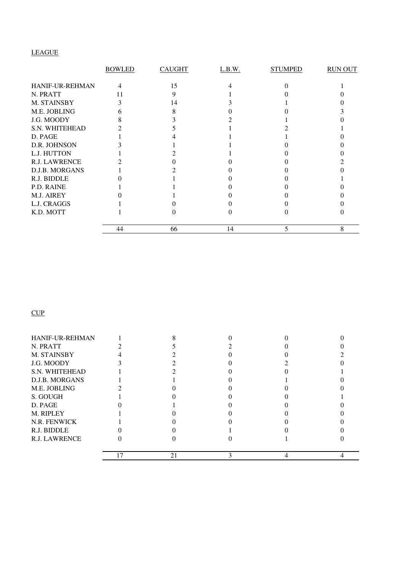### LEAGUE

|                 | <b>BOWLED</b> | <b>CAUGHT</b> | L.B.W. | <b>STUMPED</b> | <b>RUN OUT</b> |
|-----------------|---------------|---------------|--------|----------------|----------------|
| HANIF-UR-REHMAN | 4             | 15            |        |                |                |
| N. PRATT        | 11            |               |        |                |                |
| M. STAINSBY     |               | 14            |        |                |                |
| M.E. JOBLING    |               |               |        |                |                |
| J.G. MOODY      |               |               |        |                |                |
| S.N. WHITEHEAD  |               |               |        |                |                |
| D. PAGE         |               |               |        |                |                |
| D.R. JOHNSON    |               |               |        |                |                |
| L.J. HUTTON     |               |               |        |                |                |
| R.J. LAWRENCE   |               |               |        |                |                |
| D.J.B. MORGANS  |               |               |        |                |                |
| R.J. BIDDLE     |               |               |        |                |                |
| P.D. RAINE      |               |               |        |                |                |
| M.J. AIREY      |               |               |        |                |                |
| L.J. CRAGGS     |               |               |        |                |                |
| K.D. MOTT       |               |               |        |                |                |
|                 | 44            | 66            | 14     | 5              | 8              |

### **CUP**

|                        | 21 |  |  |
|------------------------|----|--|--|
| <b>R.J. LAWRENCE</b>   |    |  |  |
| R.J. BIDDLE            |    |  |  |
| N.R. FENWICK           |    |  |  |
| M. RIPLEY              |    |  |  |
| D. PAGE                |    |  |  |
| S. GOUGH               |    |  |  |
| M.E. JOBLING           |    |  |  |
| D.J.B. MORGANS         |    |  |  |
| S.N. WHITEHEAD         |    |  |  |
| J.G. MOODY             |    |  |  |
| M. STAINSBY            |    |  |  |
| N. PRATT               |    |  |  |
| <b>HANIF-UR-REHMAN</b> |    |  |  |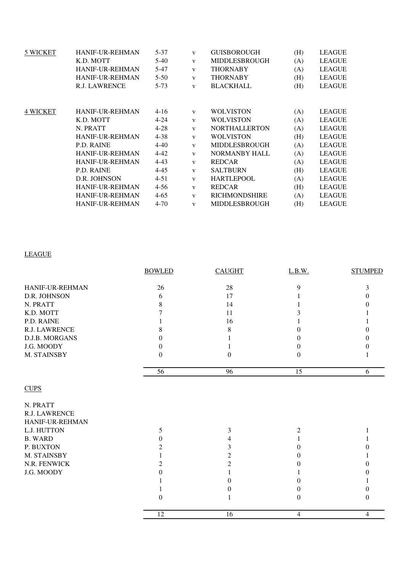| <b>HANIF-UR-REHMAN</b> | $5 - 37$                            | $\mathbf{V}$         | <b>GUISBOROUGH</b>   | (H)                                  | <b>LEAGUE</b> |
|------------------------|-------------------------------------|----------------------|----------------------|--------------------------------------|---------------|
| K.D. MOTT              | 5-40                                | $\mathbf{V}$         | <b>MIDDLESBROUGH</b> | (A)                                  | <b>LEAGUE</b> |
| <b>HANIF-UR-REHMAN</b> | $5-47$                              | $\mathbf{V}$         | <b>THORNABY</b>      | (A)                                  | <b>LEAGUE</b> |
| <b>HANIF-UR-REHMAN</b> | $5 - 50$                            | $\mathbf{V}$         | <b>THORNABY</b>      | (H)                                  | <b>LEAGUE</b> |
| <b>R.J. LAWRENCE</b>   | $5 - 73$                            | $\mathbf{V}$         | <b>BLACKHALL</b>     | (H)                                  | <b>LEAGUE</b> |
|                        |                                     |                      |                      |                                      |               |
|                        |                                     |                      |                      |                                      | <b>LEAGUE</b> |
|                        |                                     | $\mathbf{V}$         |                      |                                      | <b>LEAGUE</b> |
| N. PRATT               | $4 - 28$                            | $\mathbf{V}$         | <b>NORTHALLERTON</b> | (A)                                  | <b>LEAGUE</b> |
| <b>HANIF-UR-REHMAN</b> | $4 - 38$                            | $\mathbf{V}$         | <b>WOLVISTON</b>     | (H)                                  | <b>LEAGUE</b> |
| P.D. RAINE             | $4 - 40$                            | $\mathbf{V}$         | <b>MIDDLESBROUGH</b> | (A)                                  | <b>LEAGUE</b> |
| <b>HANIF-UR-REHMAN</b> | $4 - 42$                            | $\mathbf{V}$         | <b>NORMANBY HALL</b> | (A)                                  | <b>LEAGUE</b> |
| <b>HANIF-UR-REHMAN</b> | $4 - 43$                            | $\mathbf{V}$         | <b>REDCAR</b>        | (A)                                  | <b>LEAGUE</b> |
| P.D. RAINE             | $4 - 45$                            | $\mathbf{V}$         | <b>SALTBURN</b>      | (H)                                  | <b>LEAGUE</b> |
| D.R. JOHNSON           | $4 - 51$                            | $\mathbf{V}$         | <b>HARTLEPOOL</b>    | (A)                                  | <b>LEAGUE</b> |
| <b>HANIF-UR-REHMAN</b> | $4 - 56$                            | $\mathbf{V}$         | <b>REDCAR</b>        | (H)                                  | <b>LEAGUE</b> |
| <b>HANIF-UR-REHMAN</b> | $4 - 65$                            | $\mathbf{V}$         | <b>RICHMONDSHIRE</b> | (A)                                  | <b>LEAGUE</b> |
| <b>HANIF-UR-REHMAN</b> | $4 - 70$                            | $\mathbf{V}$         | <b>MIDDLESBROUGH</b> | (H)                                  | <b>LEAGUE</b> |
|                        | <b>HANIF-UR-REHMAN</b><br>K.D. MOTT | $4 - 16$<br>$4 - 24$ | $\mathbf{V}$         | <b>WOLVISTON</b><br><b>WOLVISTON</b> | (A)<br>(A)    |

## LEAGUE

|                 | <b>BOWLED</b> | <b>CAUGHT</b> | L.B.W.   | <b>STUMPED</b> |
|-----------------|---------------|---------------|----------|----------------|
| HANIF-UR-REHMAN | 26            | 28            | 9        | 3              |
| D.R. JOHNSON    | 6             | 17            |          | 0              |
| N. PRATT        | 8             | 14            |          |                |
| K.D. MOTT       |               | 11            |          |                |
| P.D. RAINE      |               | 16            |          |                |
| R.J. LAWRENCE   | 8             | 8             | 0        |                |
| D.J.B. MORGANS  | $\Omega$      |               | $^{(1)}$ |                |
| J.G. MOODY      | $\theta$      |               | $\Omega$ |                |
| M. STAINSBY     | $\mathbf{0}$  | $\theta$      | 0        |                |
|                 | 56            | 96            | 15       | 6              |
| <b>CUPS</b>     |               |               |          |                |
| N. PRATT        |               |               |          |                |
| R.J. LAWRENCE   |               |               |          |                |
| HANIF-UR-REHMAN |               |               |          |                |
| L.J. HUTTON     | 5             | 3             | 2        |                |
| <b>B. WARD</b>  | $\Omega$      | 4             |          |                |
| P. BUXTON       | 2             | 3             | 0        |                |
| M. STAINSBY     |               | 2             | 0        |                |
| N.R. FENWICK    | 2             | 2             |          |                |
| J.G. MOODY      | $\Omega$      |               |          |                |
|                 |               | $\Omega$      | 0        |                |
|                 |               | 0             | 0        | 0              |
|                 | $\Omega$      |               | 0        | 0              |
|                 | 12            | 16            | 4        | $\overline{4}$ |